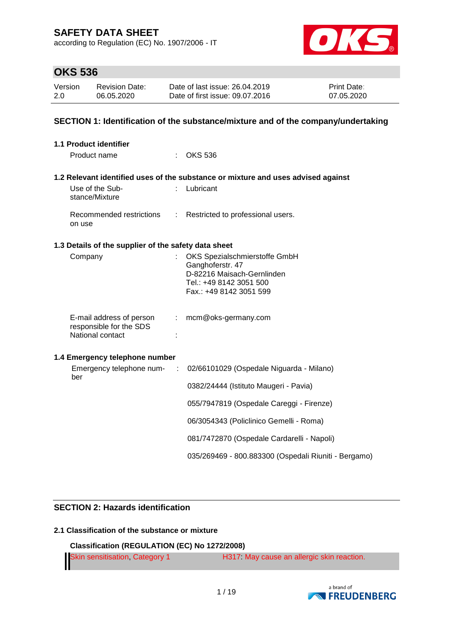according to Regulation (EC) No. 1907/2006 - IT



### **OKS 536**

| Version | <b>Revision Date:</b> | Date of last issue: 26.04.2019  | <b>Print Date:</b> |
|---------|-----------------------|---------------------------------|--------------------|
| 2.0     | 06.05.2020            | Date of first issue: 09.07.2016 | 07.05.2020         |

#### **SECTION 1: Identification of the substance/mixture and of the company/undertaking**

| 1.1 Product identifier                                                  |    |                                                                                                                                       |
|-------------------------------------------------------------------------|----|---------------------------------------------------------------------------------------------------------------------------------------|
| Product name                                                            |    | <b>OKS 536</b>                                                                                                                        |
|                                                                         |    | 1.2 Relevant identified uses of the substance or mixture and uses advised against                                                     |
| Use of the Sub-<br>stance/Mixture                                       |    | : Lubricant                                                                                                                           |
| Recommended restrictions<br>on use                                      |    | : Restricted to professional users.                                                                                                   |
| 1.3 Details of the supplier of the safety data sheet                    |    |                                                                                                                                       |
| Company                                                                 |    | OKS Spezialschmierstoffe GmbH<br>Ganghoferstr. 47<br>D-82216 Maisach-Gernlinden<br>Tel.: +49 8142 3051 500<br>Fax.: +49 8142 3051 599 |
| E-mail address of person<br>responsible for the SDS<br>National contact | ÷. | mcm@oks-germany.com                                                                                                                   |
| 1.4 Emergency telephone number                                          |    |                                                                                                                                       |
| Emergency telephone num-<br>$\sim$ 1.<br>ber                            |    | 02/66101029 (Ospedale Niguarda - Milano)                                                                                              |
|                                                                         |    | 0382/24444 (Istituto Maugeri - Pavia)                                                                                                 |
|                                                                         |    | 055/7947819 (Ospedale Careggi - Firenze)                                                                                              |
|                                                                         |    | 06/3054343 (Policlinico Gemelli - Roma)                                                                                               |
|                                                                         |    | 081/7472870 (Ospedale Cardarelli - Napoli)                                                                                            |
|                                                                         |    | 035/269469 - 800.883300 (Ospedali Riuniti - Bergamo)                                                                                  |

#### **SECTION 2: Hazards identification**

#### **2.1 Classification of the substance or mixture**

**Classification (REGULATION (EC) No 1272/2008)**

Skin sensitisation, Category 1 H317: May cause an allergic skin reaction.

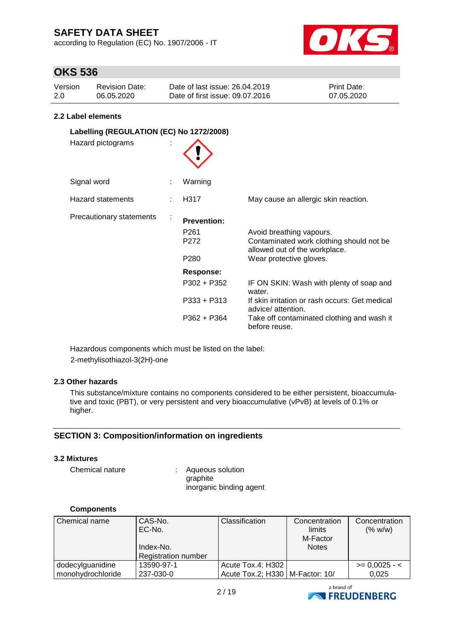according to Regulation (EC) No. 1907/2006 - IT



# **OKS 536**

| Version | <b>Revision Date:</b> | Date of last issue: 26.04.2019  | <b>Print Date:</b> |
|---------|-----------------------|---------------------------------|--------------------|
| 2.0     | 06.05.2020            | Date of first issue: 09.07.2016 | 07.05.2020         |

#### **2.2 Label elements**

| Labelling (REGULATION (EC) No 1272/2008)<br>Hazard pictograms |                                                                    |                                                                                                                                                                                           |
|---------------------------------------------------------------|--------------------------------------------------------------------|-------------------------------------------------------------------------------------------------------------------------------------------------------------------------------------------|
| Signal word                                                   | Warning                                                            |                                                                                                                                                                                           |
| <b>Hazard statements</b>                                      | H317                                                               | May cause an allergic skin reaction.                                                                                                                                                      |
| Precautionary statements                                      | <b>Prevention:</b><br>P <sub>261</sub><br>P272<br>P <sub>280</sub> | Avoid breathing vapours.<br>Contaminated work clothing should not be<br>allowed out of the workplace.<br>Wear protective gloves.                                                          |
|                                                               | Response:<br>$P302 + P352$<br>$P333 + P313$<br>$P362 + P364$       | IF ON SKIN: Wash with plenty of soap and<br>water.<br>If skin irritation or rash occurs: Get medical<br>advice/ attention.<br>Take off contaminated clothing and wash it<br>before reuse. |

Hazardous components which must be listed on the label: 2-methylisothiazol-3(2H)-one

#### **2.3 Other hazards**

This substance/mixture contains no components considered to be either persistent, bioaccumulative and toxic (PBT), or very persistent and very bioaccumulative (vPvB) at levels of 0.1% or higher.

#### **SECTION 3: Composition/information on ingredients**

#### **3.2 Mixtures**

Chemical nature : Aqueous solution graphite inorganic binding agent

#### **Components**

| Chemical name     | CAS-No.<br>EC-No.<br>Index-No.<br><b>Registration number</b> | Classification                    | Concentration<br>limits<br>M-Factor<br><b>Notes</b> | Concentration<br>(% w/w) |
|-------------------|--------------------------------------------------------------|-----------------------------------|-----------------------------------------------------|--------------------------|
| dodecylguanidine  | 13590-97-1                                                   | Acute Tox.4; H302                 |                                                     | $\ge$ = 0,0025 - <       |
| monohydrochloride | 237-030-0                                                    | Acute Tox.2; H330   M-Factor: 10/ |                                                     | 0.025                    |

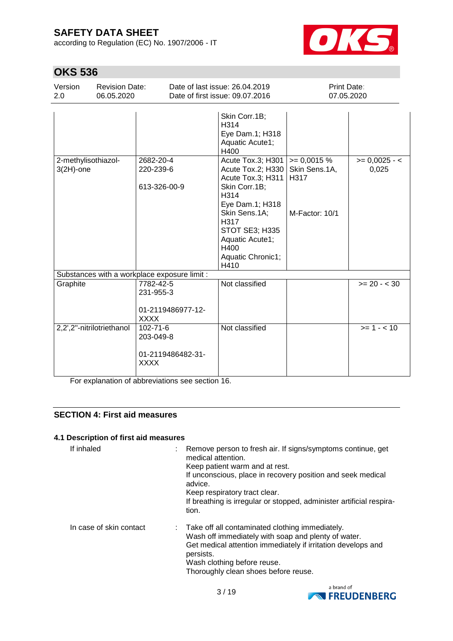according to Regulation (EC) No. 1907/2006 - IT



# **OKS 536**

| Version<br>2.0                      | <b>Revision Date:</b><br>06.05.2020 |                                                                 | Date of last issue: 26.04.2019<br>Date of first issue: 09.07.2016                                                                                                                                          | Print Date:<br>07.05.2020                               |                          |
|-------------------------------------|-------------------------------------|-----------------------------------------------------------------|------------------------------------------------------------------------------------------------------------------------------------------------------------------------------------------------------------|---------------------------------------------------------|--------------------------|
|                                     |                                     |                                                                 |                                                                                                                                                                                                            |                                                         |                          |
|                                     |                                     |                                                                 | Skin Corr.1B;<br>H314<br>Eye Dam.1; H318<br>Aquatic Acute1;<br>H400                                                                                                                                        |                                                         |                          |
| 2-methylisothiazol-<br>$3(2H)$ -one |                                     | 2682-20-4<br>220-239-6<br>613-326-00-9                          | Acute Tox.3; H301<br>Acute Tox.2; H330<br>Acute Tox.3; H311<br>Skin Corr.1B;<br>H314<br>Eye Dam.1; H318<br>Skin Sens.1A;<br>H317<br>STOT SE3; H335<br>Aquatic Acute1;<br>H400<br>Aquatic Chronic1;<br>H410 | $= 0,0015 %$<br>Skin Sens.1A,<br>H317<br>M-Factor: 10/1 | $>= 0,0025 - 1$<br>0,025 |
|                                     |                                     | Substances with a workplace exposure limit :                    |                                                                                                                                                                                                            |                                                         |                          |
| Graphite                            |                                     | 7782-42-5<br>231-955-3<br>01-2119486977-12-<br><b>XXXX</b>      | Not classified                                                                                                                                                                                             |                                                         | $>= 20 - < 30$           |
| 2,2',2"-nitrilotriethanol           |                                     | $102 - 71 - 6$<br>203-049-8<br>01-2119486482-31-<br><b>XXXX</b> | Not classified                                                                                                                                                                                             |                                                         | $>= 1 - 10$              |

For explanation of abbreviations see section 16.

### **SECTION 4: First aid measures**

#### **4.1 Description of first aid measures**

| If inhaled              | Remove person to fresh air. If signs/symptoms continue, get<br>medical attention.<br>Keep patient warm and at rest.<br>If unconscious, place in recovery position and seek medical<br>advice.<br>Keep respiratory tract clear.<br>If breathing is irregular or stopped, administer artificial respira-<br>tion. |
|-------------------------|-----------------------------------------------------------------------------------------------------------------------------------------------------------------------------------------------------------------------------------------------------------------------------------------------------------------|
| In case of skin contact | : Take off all contaminated clothing immediately.<br>Wash off immediately with soap and plenty of water.<br>Get medical attention immediately if irritation develops and<br>persists.<br>Wash clothing before reuse.<br>Thoroughly clean shoes before reuse.                                                    |

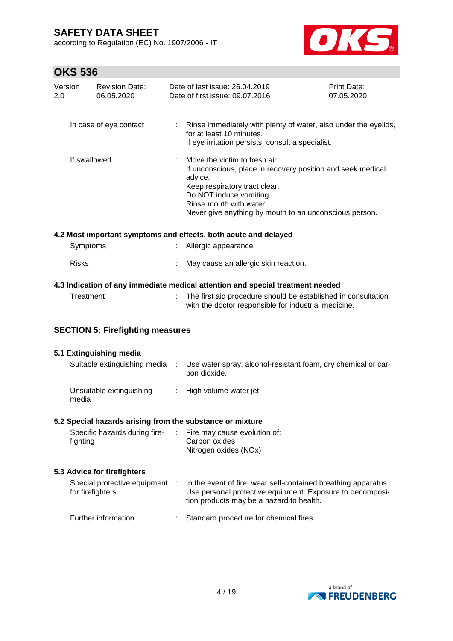according to Regulation (EC) No. 1907/2006 - IT



# **OKS 536**

| Version<br>2.0 | <b>Revision Date:</b><br>06.05.2020     | Date of last issue: 26.04.2019<br>Date of first issue: 09.07.2016                                                                                                                                                                                        | Print Date:<br>07.05.2020 |
|----------------|-----------------------------------------|----------------------------------------------------------------------------------------------------------------------------------------------------------------------------------------------------------------------------------------------------------|---------------------------|
|                | In case of eye contact                  | : Rinse immediately with plenty of water, also under the eyelids,<br>for at least 10 minutes.                                                                                                                                                            |                           |
|                |                                         | If eye irritation persists, consult a specialist.                                                                                                                                                                                                        |                           |
|                | If swallowed                            | Move the victim to fresh air.<br>If unconscious, place in recovery position and seek medical<br>advice.<br>Keep respiratory tract clear.<br>Do NOT induce vomiting.<br>Rinse mouth with water.<br>Never give anything by mouth to an unconscious person. |                           |
|                |                                         | 4.2 Most important symptoms and effects, both acute and delayed                                                                                                                                                                                          |                           |
| Symptoms       |                                         | Allergic appearance                                                                                                                                                                                                                                      |                           |
| <b>Risks</b>   |                                         | May cause an allergic skin reaction.                                                                                                                                                                                                                     |                           |
|                |                                         | 4.3 Indication of any immediate medical attention and special treatment needed                                                                                                                                                                           |                           |
| Treatment      |                                         | The first aid procedure should be established in consultation<br>with the doctor responsible for industrial medicine.                                                                                                                                    |                           |
|                | <b>SECTION 5: Firefighting measures</b> |                                                                                                                                                                                                                                                          |                           |

# **5.1 Extinguishing media** Suitable extinguishing media : Use water spray, alcohol-resistant foam, dry chemical or carbon dioxide.

| Unsuitable extinguishing | High volume water jet |
|--------------------------|-----------------------|
| media                    |                       |

#### **5.2 Special hazards arising from the substance or mixture**

| Specific hazards during fire- | $\therefore$ Fire may cause evolution of: |
|-------------------------------|-------------------------------------------|
| fighting                      | Carbon oxides                             |
|                               | Nitrogen oxides (NOx)                     |

### **5.3 Advice for firefighters**

| Special protective equipment :<br>for firefighters | In the event of fire, wear self-contained breathing apparatus.<br>Use personal protective equipment. Exposure to decomposi-<br>tion products may be a hazard to health. |
|----------------------------------------------------|-------------------------------------------------------------------------------------------------------------------------------------------------------------------------|
| Further information                                | Standard procedure for chemical fires.                                                                                                                                  |

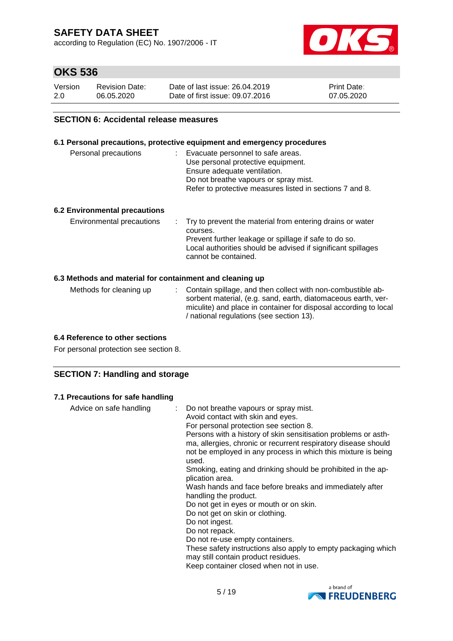according to Regulation (EC) No. 1907/2006 - IT



# **OKS 536**

| Version | <b>Revision Date:</b> | Date of last issue: 26.04.2019  | <b>Print Date:</b> |
|---------|-----------------------|---------------------------------|--------------------|
| 2.0     | 06.05.2020            | Date of first issue: 09.07.2016 | 07.05.2020         |

#### **SECTION 6: Accidental release measures**

#### **6.1 Personal precautions, protective equipment and emergency procedures**

| Personal precautions | : Evacuate personnel to safe areas.<br>Use personal protective equipment.<br>Ensure adequate ventilation.<br>Do not breathe vapours or spray mist.<br>Refer to protective measures listed in sections 7 and 8. |
|----------------------|----------------------------------------------------------------------------------------------------------------------------------------------------------------------------------------------------------------|
|                      |                                                                                                                                                                                                                |

#### **6.2 Environmental precautions**

| Environmental precautions | : Try to prevent the material from entering drains or water                          |
|---------------------------|--------------------------------------------------------------------------------------|
|                           | courses.                                                                             |
|                           | Prevent further leakage or spillage if safe to do so.                                |
|                           | Local authorities should be advised if significant spillages<br>cannot be contained. |

#### **6.3 Methods and material for containment and cleaning up**

| Methods for cleaning up | : Contain spillage, and then collect with non-combustible ab-<br>sorbent material, (e.g. sand, earth, diatomaceous earth, ver-<br>miculite) and place in container for disposal according to local<br>/ national regulations (see section 13). |
|-------------------------|------------------------------------------------------------------------------------------------------------------------------------------------------------------------------------------------------------------------------------------------|
|                         |                                                                                                                                                                                                                                                |

#### **6.4 Reference to other sections**

For personal protection see section 8.

#### **SECTION 7: Handling and storage**

#### **7.1 Precautions for safe handling**

| Advice on safe handling<br>Do not re-use empty containers.<br>These safety instructions also apply to empty packaging which | Do not breathe vapours or spray mist.<br>Avoid contact with skin and eyes.<br>For personal protection see section 8.<br>Persons with a history of skin sensitisation problems or asth-<br>ma, allergies, chronic or recurrent respiratory disease should<br>not be employed in any process in which this mixture is being<br>used.<br>Smoking, eating and drinking should be prohibited in the ap-<br>plication area.<br>Wash hands and face before breaks and immediately after<br>handling the product.<br>Do not get in eyes or mouth or on skin.<br>Do not get on skin or clothing.<br>Do not ingest.<br>Do not repack. |
|-----------------------------------------------------------------------------------------------------------------------------|-----------------------------------------------------------------------------------------------------------------------------------------------------------------------------------------------------------------------------------------------------------------------------------------------------------------------------------------------------------------------------------------------------------------------------------------------------------------------------------------------------------------------------------------------------------------------------------------------------------------------------|
|-----------------------------------------------------------------------------------------------------------------------------|-----------------------------------------------------------------------------------------------------------------------------------------------------------------------------------------------------------------------------------------------------------------------------------------------------------------------------------------------------------------------------------------------------------------------------------------------------------------------------------------------------------------------------------------------------------------------------------------------------------------------------|

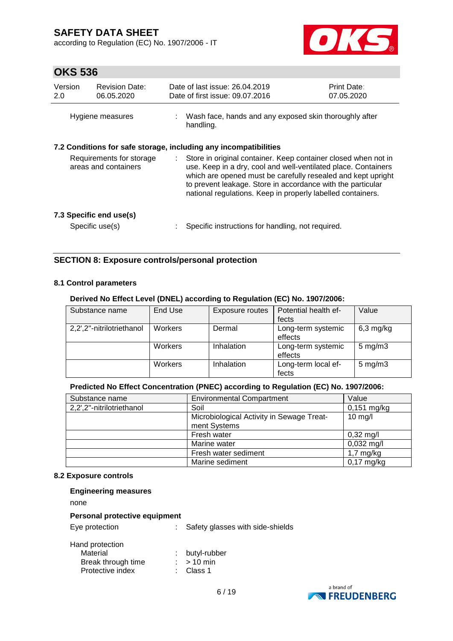according to Regulation (EC) No. 1907/2006 - IT



# **OKS 536**

| Version<br>2.0                                   | <b>Revision Date:</b><br>06.05.2020        |                                                                                                                                                                                                                                                                                                                                | Date of last issue: 26.04.2019<br>Date of first issue: 09.07.2016   | <b>Print Date:</b><br>07.05.2020 |
|--------------------------------------------------|--------------------------------------------|--------------------------------------------------------------------------------------------------------------------------------------------------------------------------------------------------------------------------------------------------------------------------------------------------------------------------------|---------------------------------------------------------------------|----------------------------------|
|                                                  | Hygiene measures                           |                                                                                                                                                                                                                                                                                                                                | Wash face, hands and any exposed skin thoroughly after<br>handling. |                                  |
|                                                  |                                            |                                                                                                                                                                                                                                                                                                                                | 7.2 Conditions for safe storage, including any incompatibilities    |                                  |
| Requirements for storage<br>areas and containers |                                            | Store in original container. Keep container closed when not in<br>use. Keep in a dry, cool and well-ventilated place. Containers<br>which are opened must be carefully resealed and kept upright<br>to prevent leakage. Store in accordance with the particular<br>national regulations. Keep in properly labelled containers. |                                                                     |                                  |
|                                                  | 7.3 Specific end use(s)<br>Specific use(s) |                                                                                                                                                                                                                                                                                                                                | Specific instructions for handling, not required.                   |                                  |

#### **SECTION 8: Exposure controls/personal protection**

#### **8.1 Control parameters**

#### **Derived No Effect Level (DNEL) according to Regulation (EC) No. 1907/2006:**

| Substance name            | End Use | Exposure routes | Potential health ef-<br>fects | Value              |
|---------------------------|---------|-----------------|-------------------------------|--------------------|
| 2,2',2"-nitrilotriethanol | Workers | Dermal          | Long-term systemic<br>effects | $6,3$ mg/kg        |
|                           | Workers | Inhalation      | Long-term systemic<br>effects | $5 \text{ mg/m}$ 3 |
|                           | Workers | Inhalation      | Long-term local ef-<br>fects  | $5 \text{ mg/m}$ 3 |

#### **Predicted No Effect Concentration (PNEC) according to Regulation (EC) No. 1907/2006:**

| Substance name            | <b>Environmental Compartment</b>                          | Value               |
|---------------------------|-----------------------------------------------------------|---------------------|
| 2,2',2"-nitrilotriethanol | Soil                                                      | $0,151$ mg/kg       |
|                           | Microbiological Activity in Sewage Treat-<br>ment Systems | $10$ mg/l           |
|                           | Fresh water                                               | $0,32 \text{ mg/l}$ |
|                           | Marine water                                              | $0,032$ mg/l        |
|                           | Fresh water sediment                                      | $1,7$ mg/kg         |
|                           | Marine sediment                                           | $0,17$ mg/kg        |

#### **8.2 Exposure controls**

| <b>Engineering measures</b> |  |
|-----------------------------|--|
|-----------------------------|--|

none

#### **Personal protective equipment**

Eye protection : Safety glasses with side-shields

| : butyl-rubber       |
|----------------------|
| $:$ > 10 min         |
| $\therefore$ Class 1 |
|                      |

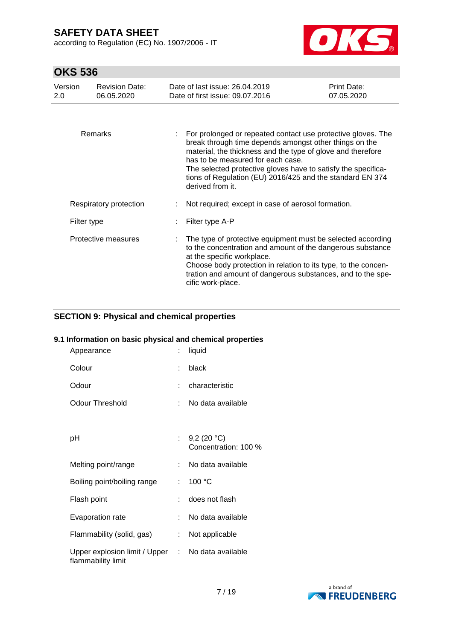according to Regulation (EC) No. 1907/2006 - IT



# **OKS 536**

| Version<br>2.0 | <b>Revision Date:</b><br>06.05.2020 | Date of last issue: 26.04.2019<br>Date of first issue: 09.07.2016                                                                                                                                                                                                                                                                                                            | Print Date:<br>07.05.2020 |
|----------------|-------------------------------------|------------------------------------------------------------------------------------------------------------------------------------------------------------------------------------------------------------------------------------------------------------------------------------------------------------------------------------------------------------------------------|---------------------------|
|                |                                     |                                                                                                                                                                                                                                                                                                                                                                              |                           |
|                | Remarks                             | For prolonged or repeated contact use protective gloves. The<br>break through time depends amongst other things on the<br>material, the thickness and the type of glove and therefore<br>has to be measured for each case.<br>The selected protective gloves have to satisfy the specifica-<br>tions of Regulation (EU) 2016/425 and the standard EN 374<br>derived from it. |                           |
|                | Respiratory protection              | Not required; except in case of aerosol formation.                                                                                                                                                                                                                                                                                                                           |                           |
| Filter type    |                                     | Filter type A-P                                                                                                                                                                                                                                                                                                                                                              |                           |
|                | Protective measures                 | The type of protective equipment must be selected according<br>to the concentration and amount of the dangerous substance<br>at the specific workplace.<br>Choose body protection in relation to its type, to the concen-<br>tration and amount of dangerous substances, and to the spe-<br>cific work-place.                                                                |                           |

#### **SECTION 9: Physical and chemical properties**

#### **9.1 Information on basic physical and chemical properties**

| Appearance                                                              | t. | liquid                                |
|-------------------------------------------------------------------------|----|---------------------------------------|
| Colour                                                                  | ÷  | black                                 |
| Odour                                                                   |    | characteristic                        |
| <b>Odour Threshold</b>                                                  |    | No data available                     |
|                                                                         |    |                                       |
| рH                                                                      | t. | 9,2 $(20 °C)$<br>Concentration: 100 % |
| Melting point/range                                                     | t. | No data available                     |
| Boiling point/boiling range                                             | t. | 100 °C                                |
| Flash point                                                             | t. | does not flash                        |
| Evaporation rate                                                        | t. | No data available                     |
| Flammability (solid, gas)                                               | t. | Not applicable                        |
| Upper explosion limit / Upper : No data available<br>flammability limit |    |                                       |

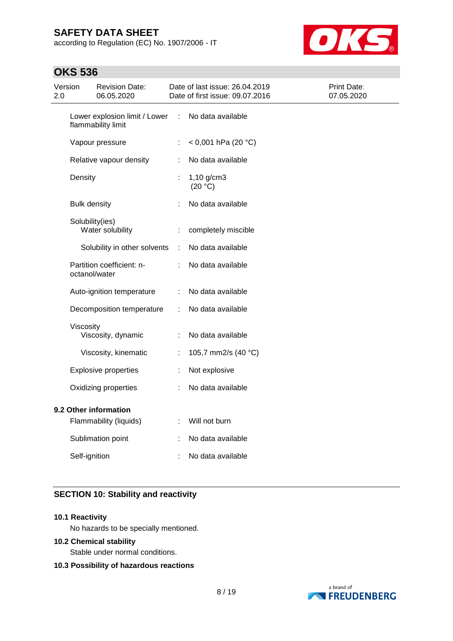according to Regulation (EC) No. 1907/2006 - IT



## **OKS 536**

| Version<br>2.0      | Revision Date:<br>06.05.2020                        |   | Date of last issue: 26.04.2019<br>Date of first issue: 09.07.2016 | Print Date:<br>07.05.2020 |
|---------------------|-----------------------------------------------------|---|-------------------------------------------------------------------|---------------------------|
|                     | Lower explosion limit / Lower<br>flammability limit | ÷ | No data available                                                 |                           |
|                     | Vapour pressure                                     | ÷ | < 0,001 hPa (20 °C)                                               |                           |
|                     | Relative vapour density                             | ÷ | No data available                                                 |                           |
| Density             |                                                     |   | $1,10$ g/cm3<br>(20 °C)                                           |                           |
| <b>Bulk density</b> |                                                     |   | No data available                                                 |                           |
|                     | Solubility(ies)<br>Water solubility                 | t | completely miscible                                               |                           |
|                     | Solubility in other solvents                        | ÷ | No data available                                                 |                           |
|                     | Partition coefficient: n-<br>octanol/water          |   | No data available                                                 |                           |
|                     | Auto-ignition temperature                           | ÷ | No data available                                                 |                           |
|                     | Decomposition temperature                           | ÷ | No data available                                                 |                           |
| Viscosity           | Viscosity, dynamic                                  | ÷ | No data available                                                 |                           |
|                     | Viscosity, kinematic                                | t | 105,7 mm2/s (40 °C)                                               |                           |
|                     | <b>Explosive properties</b>                         | t | Not explosive                                                     |                           |
|                     | Oxidizing properties                                |   | No data available                                                 |                           |
|                     | 9.2 Other information<br>Flammability (liquids)     | ÷ | Will not burn                                                     |                           |
|                     | Sublimation point                                   |   | No data available                                                 |                           |
| Self-ignition       |                                                     |   | No data available                                                 |                           |

### **SECTION 10: Stability and reactivity**

#### **10.1 Reactivity**

No hazards to be specially mentioned.

#### **10.2 Chemical stability**

Stable under normal conditions.

#### **10.3 Possibility of hazardous reactions**

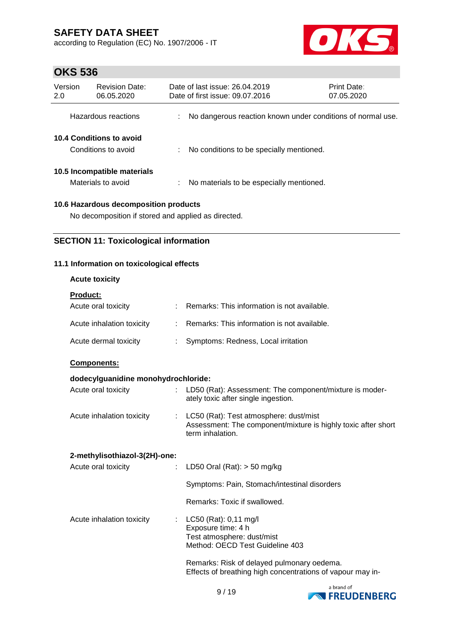according to Regulation (EC) No. 1907/2006 - IT



# **OKS 536**

| Version<br>2.0                                  | <b>Revision Date:</b><br>06.05.2020               |   | Date of last issue: 26.04.2019<br>Date of first issue: 09.07.2016 |                                                             | Print Date:<br>07.05.2020 |
|-------------------------------------------------|---------------------------------------------------|---|-------------------------------------------------------------------|-------------------------------------------------------------|---------------------------|
|                                                 | Hazardous reactions                               |   |                                                                   | No dangerous reaction known under conditions of normal use. |                           |
| 10.4 Conditions to avoid<br>Conditions to avoid |                                                   | ÷ |                                                                   | No conditions to be specially mentioned.                    |                           |
|                                                 | 10.5 Incompatible materials<br>Materials to avoid |   |                                                                   | No materials to be especially mentioned.                    |                           |
| 10.6 Hazardous decomposition products           |                                                   |   |                                                                   |                                                             |                           |

No decomposition if stored and applied as directed.

#### **SECTION 11: Toxicological information**

#### **11.1 Information on toxicological effects**

| <b>Acute toxicity</b> |  |
|-----------------------|--|
|-----------------------|--|

| <b>Product:</b>           |                                               |
|---------------------------|-----------------------------------------------|
| Acute oral toxicity       | Remarks: This information is not available.   |
| Acute inhalation toxicity | : Remarks: This information is not available. |
| Acute dermal toxicity     | Symptoms: Redness, Local irritation           |

**Components:**

#### **dodecylguanidine monohydrochloride:**

| Acute oral toxicity                   | LD50 (Rat): Assessment: The component/mixture is moder-<br>ately toxic after single ingestion.                              |
|---------------------------------------|-----------------------------------------------------------------------------------------------------------------------------|
| Acute inhalation toxicity<br>t in     | LC50 (Rat): Test atmosphere: dust/mist<br>Assessment: The component/mixture is highly toxic after short<br>term inhalation. |
| 2-methylisothiazol-3(2H)-one:         |                                                                                                                             |
| Acute oral toxicity<br>$\mathbb{R}^n$ | LD50 Oral (Rat): $>$ 50 mg/kg                                                                                               |
|                                       | Symptoms: Pain, Stomach/intestinal disorders                                                                                |
|                                       | Remarks: Toxic if swallowed.                                                                                                |
| Acute inhalation toxicity<br>t.       | LC50 (Rat): 0,11 mg/l<br>Exposure time: 4 h<br>Test atmosphere: dust/mist<br>Method: OECD Test Guideline 403                |
|                                       | Dia ann an t-ais D'albhail a bha tha chuidhean ann an a-ais an a-ais an a-ais an a-ais an a-ais an a-ais an a-              |

Remarks: Risk of delayed pulmonary oedema. Effects of breathing high concentrations of vapour may in-

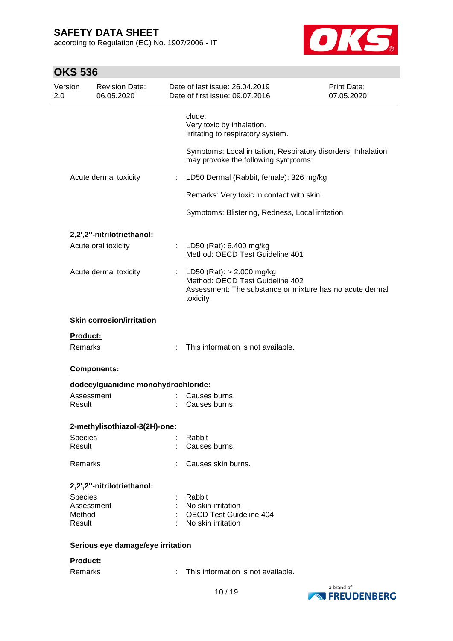according to Regulation (EC) No. 1907/2006 - IT



# **OKS 536**

| Version<br>2.0      | <b>Revision Date:</b><br>06.05.2020 |   | Date of last issue: 26.04.2019<br>Date of first issue: 09.07.2016                                                                        | <b>Print Date:</b><br>07.05.2020 |
|---------------------|-------------------------------------|---|------------------------------------------------------------------------------------------------------------------------------------------|----------------------------------|
|                     |                                     |   | clude:<br>Very toxic by inhalation.<br>Irritating to respiratory system.                                                                 |                                  |
|                     |                                     |   | Symptoms: Local irritation, Respiratory disorders, Inhalation<br>may provoke the following symptoms:                                     |                                  |
|                     | Acute dermal toxicity               | ÷ | LD50 Dermal (Rabbit, female): 326 mg/kg                                                                                                  |                                  |
|                     |                                     |   | Remarks: Very toxic in contact with skin.                                                                                                |                                  |
|                     |                                     |   | Symptoms: Blistering, Redness, Local irritation                                                                                          |                                  |
|                     | 2,2',2"-nitrilotriethanol:          |   |                                                                                                                                          |                                  |
|                     | Acute oral toxicity                 |   | : LD50 (Rat): $6.400 \text{ mg/kg}$<br>Method: OECD Test Guideline 401                                                                   |                                  |
|                     | Acute dermal toxicity               |   | : LD50 (Rat): $> 2.000$ mg/kg<br>Method: OECD Test Guideline 402<br>Assessment: The substance or mixture has no acute dermal<br>toxicity |                                  |
|                     | <b>Skin corrosion/irritation</b>    |   |                                                                                                                                          |                                  |
| <b>Product:</b>     |                                     |   |                                                                                                                                          |                                  |
| Remarks             |                                     |   | This information is not available.                                                                                                       |                                  |
|                     | Components:                         |   |                                                                                                                                          |                                  |
|                     | dodecylguanidine monohydrochloride: |   |                                                                                                                                          |                                  |
|                     | Assessment                          |   | Causes burns.                                                                                                                            |                                  |
| Result              |                                     |   | Causes burns.                                                                                                                            |                                  |
|                     | 2-methylisothiazol-3(2H)-one:       |   |                                                                                                                                          |                                  |
| Species             |                                     |   | Rabbit                                                                                                                                   |                                  |
| Result              |                                     |   | Causes burns.                                                                                                                            |                                  |
| Remarks             |                                     |   | Causes skin burns.                                                                                                                       |                                  |
|                     | 2,2',2"-nitrilotriethanol:          |   |                                                                                                                                          |                                  |
| Species             |                                     |   | Rabbit                                                                                                                                   |                                  |
|                     | Assessment                          |   | No skin irritation                                                                                                                       |                                  |
| Method<br>Result    |                                     |   | <b>OECD Test Guideline 404</b><br>No skin irritation                                                                                     |                                  |
|                     | Serious eye damage/eye irritation   |   |                                                                                                                                          |                                  |
|                     |                                     |   |                                                                                                                                          |                                  |
| Product:<br>Remarks |                                     |   | This information is not available.                                                                                                       |                                  |
|                     |                                     |   |                                                                                                                                          |                                  |
|                     |                                     |   |                                                                                                                                          | a hrand of                       |



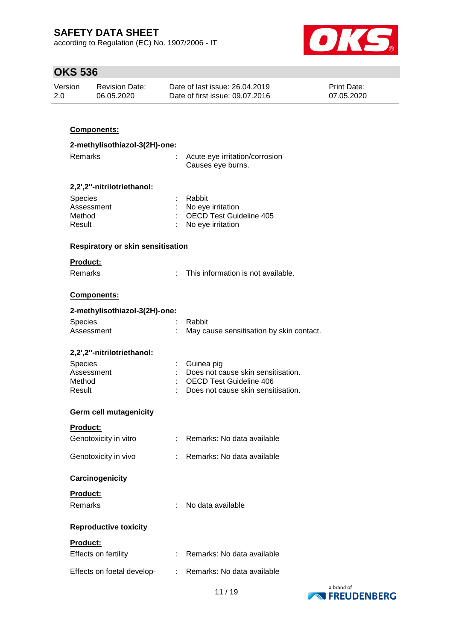according to Regulation (EC) No. 1907/2006 - IT



# **OKS 536**

| Version | <b>Revision Date:</b> | Date of last issue: 26.04.2019  | <b>Print Date:</b> |
|---------|-----------------------|---------------------------------|--------------------|
| 2.0     | 06.05.2020            | Date of first issue: 09.07.2016 | 07.05.2020         |

### **Components:**

| 2-methylisothiazol-3(2H)-one:            |    |                                                                      |  |  |  |  |
|------------------------------------------|----|----------------------------------------------------------------------|--|--|--|--|
| Remarks                                  |    | Acute eye irritation/corrosion<br>Causes eye burns.                  |  |  |  |  |
| 2,2',2"-nitrilotriethanol:               |    |                                                                      |  |  |  |  |
| Species                                  |    | Rabbit                                                               |  |  |  |  |
| Assessment<br>Method                     |    | No eye irritation<br><b>OECD Test Guideline 405</b>                  |  |  |  |  |
| Result                                   |    | No eye irritation                                                    |  |  |  |  |
| <b>Respiratory or skin sensitisation</b> |    |                                                                      |  |  |  |  |
| Product:                                 |    |                                                                      |  |  |  |  |
| Remarks                                  | t. | This information is not available.                                   |  |  |  |  |
| <b>Components:</b>                       |    |                                                                      |  |  |  |  |
| 2-methylisothiazol-3(2H)-one:            |    |                                                                      |  |  |  |  |
| Species                                  |    | Rabbit                                                               |  |  |  |  |
| Assessment                               |    | May cause sensitisation by skin contact.                             |  |  |  |  |
| 2,2',2"-nitrilotriethanol:               |    |                                                                      |  |  |  |  |
| Species                                  |    | Guinea pig                                                           |  |  |  |  |
| Assessment                               |    | Does not cause skin sensitisation.                                   |  |  |  |  |
| Method<br>Result                         |    | <b>OECD Test Guideline 406</b><br>Does not cause skin sensitisation. |  |  |  |  |
|                                          |    |                                                                      |  |  |  |  |
| <b>Germ cell mutagenicity</b>            |    |                                                                      |  |  |  |  |
| Product:                                 |    |                                                                      |  |  |  |  |
| Genotoxicity in vitro                    |    | : Remarks: No data available                                         |  |  |  |  |
| Genotoxicity in vivo                     | t. | Remarks: No data available                                           |  |  |  |  |
| Carcinogenicity                          |    |                                                                      |  |  |  |  |
| Product:                                 |    |                                                                      |  |  |  |  |
| Remarks                                  |    | No data available                                                    |  |  |  |  |
| <b>Reproductive toxicity</b>             |    |                                                                      |  |  |  |  |
| <b>Product:</b>                          |    |                                                                      |  |  |  |  |
| Effects on fertility                     |    | Remarks: No data available                                           |  |  |  |  |
| Effects on foetal develop-               | ÷  | Remarks: No data available                                           |  |  |  |  |

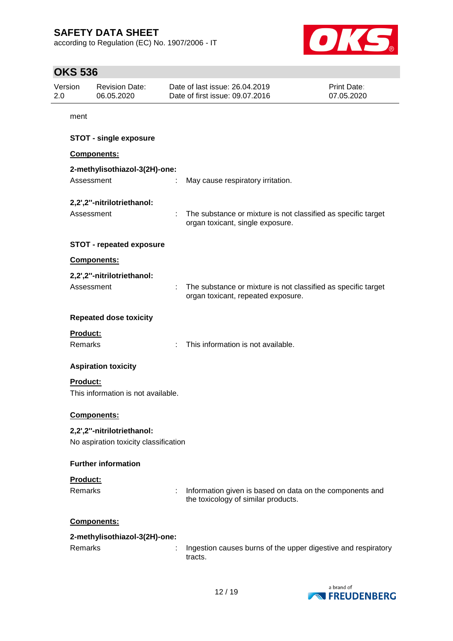according to Regulation (EC) No. 1907/2006 - IT



# **OKS 536**

| 2.0 | Version                    | <b>Revision Date:</b><br>06.05.2020                                 |   | Date of last issue: 26.04.2019<br>Date of first issue: 09.07.2016                                   | Print Date:<br>07.05.2020 |
|-----|----------------------------|---------------------------------------------------------------------|---|-----------------------------------------------------------------------------------------------------|---------------------------|
|     | ment                       |                                                                     |   |                                                                                                     |                           |
|     |                            | <b>STOT - single exposure</b>                                       |   |                                                                                                     |                           |
|     |                            | Components:                                                         |   |                                                                                                     |                           |
|     | Assessment                 | 2-methylisothiazol-3(2H)-one:                                       |   | May cause respiratory irritation.                                                                   |                           |
|     | Assessment                 | 2,2',2"-nitrilotriethanol:                                          |   | The substance or mixture is not classified as specific target<br>organ toxicant, single exposure.   |                           |
|     |                            | <b>STOT - repeated exposure</b>                                     |   |                                                                                                     |                           |
|     |                            | Components:                                                         |   |                                                                                                     |                           |
|     | Assessment                 | 2,2',2"-nitrilotriethanol:                                          |   | The substance or mixture is not classified as specific target<br>organ toxicant, repeated exposure. |                           |
|     |                            | <b>Repeated dose toxicity</b>                                       |   |                                                                                                     |                           |
|     | Product:<br>Remarks        |                                                                     |   | This information is not available.                                                                  |                           |
|     |                            | <b>Aspiration toxicity</b>                                          |   |                                                                                                     |                           |
|     | Product:                   | This information is not available.                                  |   |                                                                                                     |                           |
|     |                            | <b>Components:</b>                                                  |   |                                                                                                     |                           |
|     |                            | 2,2',2"-nitrilotriethanol:<br>No aspiration toxicity classification |   |                                                                                                     |                           |
|     |                            | <b>Further information</b>                                          |   |                                                                                                     |                           |
|     | Product:<br><b>Remarks</b> |                                                                     | ÷ | Information given is based on data on the components and<br>the toxicology of similar products.     |                           |
|     |                            | Components:                                                         |   |                                                                                                     |                           |
|     |                            | 2-methylisothiazol-3(2H)-one:                                       |   |                                                                                                     |                           |
|     | Remarks                    |                                                                     |   | Ingestion causes burns of the upper digestive and respiratory<br>tracts.                            |                           |
|     |                            |                                                                     |   |                                                                                                     |                           |

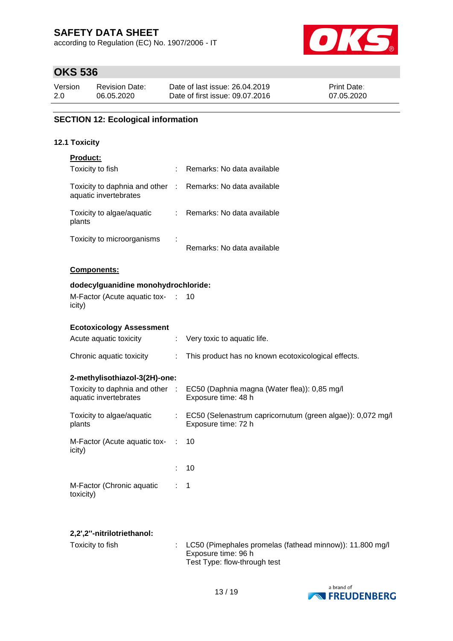according to Regulation (EC) No. 1907/2006 - IT



# **OKS 536**

| Version | <b>Revision Date:</b> | Date of last issue: 26.04.2019  | <b>Print Date:</b> |
|---------|-----------------------|---------------------------------|--------------------|
| 2.0     | 06.05.2020            | Date of first issue: 09.07.2016 | 07.05.2020         |

### **SECTION 12: Ecological information**

#### **12.1 Toxicity**

| <b>Product:</b>                                          |                       |                                                                                     |
|----------------------------------------------------------|-----------------------|-------------------------------------------------------------------------------------|
| Toxicity to fish                                         | ÷.                    | Remarks: No data available                                                          |
| Toxicity to daphnia and other<br>aquatic invertebrates   | $\sim 10^{-1}$        | Remarks: No data available                                                          |
| Toxicity to algae/aquatic<br>plants                      |                       | : Remarks: No data available                                                        |
| Toxicity to microorganisms                               |                       | Remarks: No data available                                                          |
| <b>Components:</b>                                       |                       |                                                                                     |
| dodecylguanidine monohydrochloride:                      |                       |                                                                                     |
| M-Factor (Acute aquatic tox-<br>icity)                   | $\sim 100$            | 10                                                                                  |
| <b>Ecotoxicology Assessment</b>                          |                       |                                                                                     |
| Acute aquatic toxicity                                   | $\mathbb{Z}^{\times}$ | Very toxic to aquatic life.                                                         |
| Chronic aquatic toxicity                                 | ÷                     | This product has no known ecotoxicological effects.                                 |
| 2-methylisothiazol-3(2H)-one:                            |                       |                                                                                     |
| Toxicity to daphnia and other :<br>aquatic invertebrates |                       | EC50 (Daphnia magna (Water flea)): 0,85 mg/l<br>Exposure time: 48 h                 |
| Toxicity to algae/aquatic<br>plants                      |                       | : EC50 (Selenastrum capricornutum (green algae)): 0,072 mg/l<br>Exposure time: 72 h |
| M-Factor (Acute aquatic tox-<br>icity)                   | ÷.                    | 10                                                                                  |
|                                                          |                       | 10                                                                                  |
| M-Factor (Chronic aquatic<br>toxicity)                   |                       | $\mathbf 1$                                                                         |
|                                                          |                       |                                                                                     |

#### **2,2',2''-nitrilotriethanol:**

| Toxicity to fish_ | $\therefore$ LC50 (Pimephales promelas (fathead minnow)): 11.800 mg/l<br>Exposure time: 96 h<br>Test Type: flow-through test |
|-------------------|------------------------------------------------------------------------------------------------------------------------------|
|                   |                                                                                                                              |

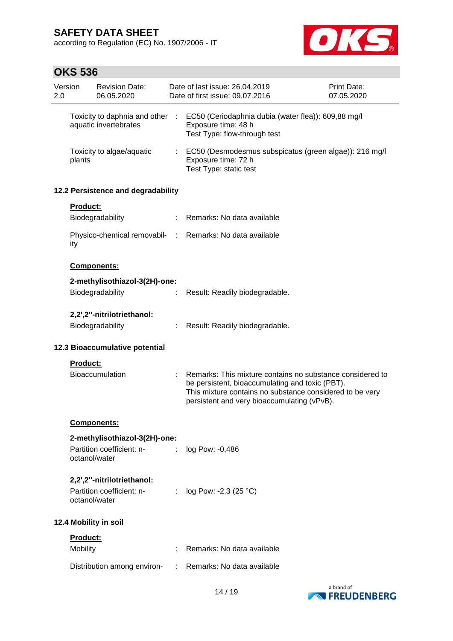according to Regulation (EC) No. 1907/2006 - IT



# **OKS 536**

| 2.0                   | Version  | <b>Revision Date:</b><br>06.05.2020                                      |            | Date of last issue: 26.04.2019<br>Date of first issue: 09.07.2016                                                                                                                                                       | Print Date:<br>07.05.2020 |
|-----------------------|----------|--------------------------------------------------------------------------|------------|-------------------------------------------------------------------------------------------------------------------------------------------------------------------------------------------------------------------------|---------------------------|
|                       |          | Toxicity to daphnia and other<br>aquatic invertebrates                   | $\sim 100$ | EC50 (Ceriodaphnia dubia (water flea)): 609,88 mg/l<br>Exposure time: 48 h<br>Test Type: flow-through test                                                                                                              |                           |
|                       | plants   | Toxicity to algae/aquatic                                                |            | EC50 (Desmodesmus subspicatus (green algae)): 216 mg/l<br>Exposure time: 72 h<br>Test Type: static test                                                                                                                 |                           |
|                       |          | 12.2 Persistence and degradability                                       |            |                                                                                                                                                                                                                         |                           |
|                       | Product: |                                                                          |            |                                                                                                                                                                                                                         |                           |
|                       |          | Biodegradability                                                         |            | Remarks: No data available                                                                                                                                                                                              |                           |
|                       | ity      | Physico-chemical removabil-                                              | ÷.         | Remarks: No data available                                                                                                                                                                                              |                           |
|                       |          | <b>Components:</b>                                                       |            |                                                                                                                                                                                                                         |                           |
|                       |          | 2-methylisothiazol-3(2H)-one:                                            |            |                                                                                                                                                                                                                         |                           |
|                       |          | Biodegradability                                                         |            | Result: Readily biodegradable.                                                                                                                                                                                          |                           |
|                       |          | 2,2',2"-nitrilotriethanol:                                               |            |                                                                                                                                                                                                                         |                           |
|                       |          | Biodegradability                                                         |            | Result: Readily biodegradable.                                                                                                                                                                                          |                           |
|                       |          |                                                                          |            |                                                                                                                                                                                                                         |                           |
|                       |          | 12.3 Bioaccumulative potential                                           |            |                                                                                                                                                                                                                         |                           |
|                       | Product: |                                                                          |            |                                                                                                                                                                                                                         |                           |
|                       |          | <b>Bioaccumulation</b>                                                   |            | Remarks: This mixture contains no substance considered to<br>be persistent, bioaccumulating and toxic (PBT).<br>This mixture contains no substance considered to be very<br>persistent and very bioaccumulating (vPvB). |                           |
|                       |          | Components:                                                              |            |                                                                                                                                                                                                                         |                           |
|                       |          | 2-methylisothiazol-3(2H)-one:                                            |            |                                                                                                                                                                                                                         |                           |
|                       |          | Partition coefficient: n-<br>octanol/water                               | ÷          | log Pow: -0,486                                                                                                                                                                                                         |                           |
|                       |          | 2,2',2"-nitrilotriethanol:<br>Partition coefficient: n-<br>octanol/water | ÷          | log Pow: -2,3 (25 °C)                                                                                                                                                                                                   |                           |
| 12.4 Mobility in soil |          |                                                                          |            |                                                                                                                                                                                                                         |                           |
|                       | Product: |                                                                          |            |                                                                                                                                                                                                                         |                           |
|                       | Mobility |                                                                          |            | Remarks: No data available                                                                                                                                                                                              |                           |
|                       |          | Distribution among environ-                                              |            | Remarks: No data available                                                                                                                                                                                              |                           |

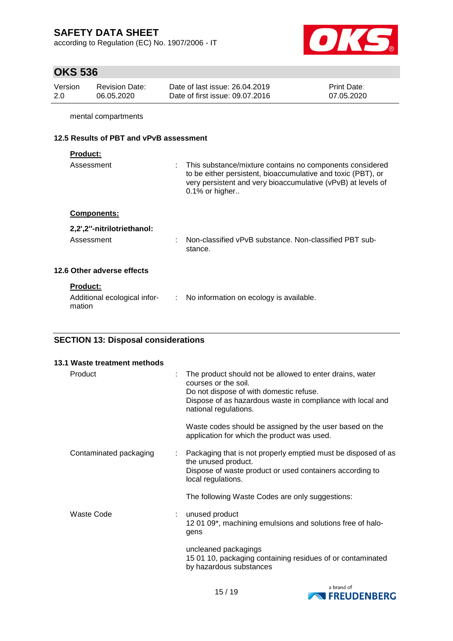according to Regulation (EC) No. 1907/2006 - IT



# **OKS 536**

| Version | <b>Revision Date:</b> | Date of last issue: 26.04.2019  | <b>Print Date:</b> |
|---------|-----------------------|---------------------------------|--------------------|
| -2.0    | 06.05.2020            | Date of first issue: 09.07.2016 | 07.05.2020         |

mental compartments

### **12.5 Results of PBT and vPvB assessment**

| roduct |  |  |
|--------|--|--|
|        |  |  |

mation

| Assessment                   | : This substance/mixture contains no components considered<br>to be either persistent, bioaccumulative and toxic (PBT), or<br>very persistent and very bioaccumulative (vPvB) at levels of<br>$0.1\%$ or higher |
|------------------------------|-----------------------------------------------------------------------------------------------------------------------------------------------------------------------------------------------------------------|
| <b>Components:</b>           |                                                                                                                                                                                                                 |
| 2,2',2"-nitrilotriethanol:   |                                                                                                                                                                                                                 |
| Assessment                   | Non-classified vPvB substance. Non-classified PBT sub-<br>stance.                                                                                                                                               |
| 12.6 Other adverse effects   |                                                                                                                                                                                                                 |
| <b>Product:</b>              |                                                                                                                                                                                                                 |
| Additional ecological infor- | : No information on ecology is available.                                                                                                                                                                       |

### **SECTION 13: Disposal considerations**

| 13.1 Waste treatment methods |   |                                                                                                                                                                                                                    |
|------------------------------|---|--------------------------------------------------------------------------------------------------------------------------------------------------------------------------------------------------------------------|
| Product                      |   | The product should not be allowed to enter drains, water<br>courses or the soil.<br>Do not dispose of with domestic refuse.<br>Dispose of as hazardous waste in compliance with local and<br>national regulations. |
|                              |   | Waste codes should be assigned by the user based on the<br>application for which the product was used.                                                                                                             |
| Contaminated packaging       |   | Packaging that is not properly emptied must be disposed of as<br>the unused product.<br>Dispose of waste product or used containers according to<br>local regulations.                                             |
|                              |   | The following Waste Codes are only suggestions:                                                                                                                                                                    |
| <b>Waste Code</b>            | ÷ | unused product<br>1201 09*, machining emulsions and solutions free of halo-<br>gens                                                                                                                                |
|                              |   | uncleaned packagings<br>15 01 10, packaging containing residues of or contaminated<br>by hazardous substances                                                                                                      |

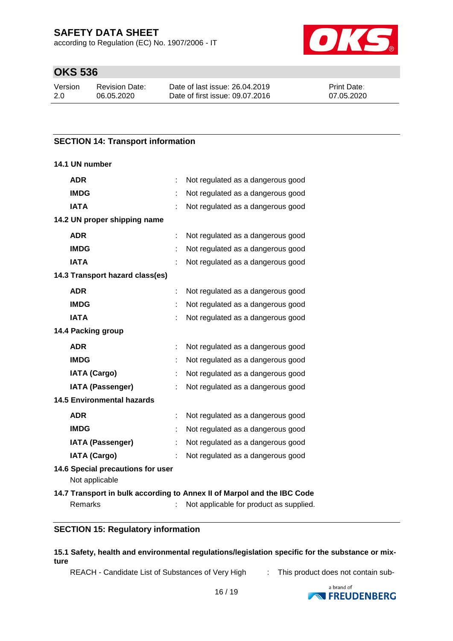according to Regulation (EC) No. 1907/2006 - IT



## **OKS 536**

| Version | <b>Revision Date:</b> | Date of last issue: 26.04.2019  | <b>Print Date:</b> |
|---------|-----------------------|---------------------------------|--------------------|
| 2.0     | 06.05.2020            | Date of first issue: 09.07.2016 | 07.05.2020         |

#### **SECTION 14: Transport information**

#### **14.1 UN number**

| <b>ADR</b>                                          |   | Not regulated as a dangerous good                                                                                  |
|-----------------------------------------------------|---|--------------------------------------------------------------------------------------------------------------------|
| <b>IMDG</b>                                         |   | Not regulated as a dangerous good                                                                                  |
| <b>IATA</b>                                         |   | Not regulated as a dangerous good                                                                                  |
| 14.2 UN proper shipping name                        |   |                                                                                                                    |
| <b>ADR</b>                                          |   | Not regulated as a dangerous good                                                                                  |
| <b>IMDG</b>                                         |   | Not regulated as a dangerous good                                                                                  |
| <b>IATA</b>                                         |   | Not regulated as a dangerous good                                                                                  |
| 14.3 Transport hazard class(es)                     |   |                                                                                                                    |
| <b>ADR</b>                                          |   | Not regulated as a dangerous good                                                                                  |
| <b>IMDG</b>                                         |   | Not regulated as a dangerous good                                                                                  |
| <b>IATA</b>                                         |   | Not regulated as a dangerous good                                                                                  |
| 14.4 Packing group                                  |   |                                                                                                                    |
| <b>ADR</b>                                          | ÷ | Not regulated as a dangerous good                                                                                  |
| <b>IMDG</b>                                         |   | Not regulated as a dangerous good                                                                                  |
| <b>IATA (Cargo)</b>                                 |   | Not regulated as a dangerous good                                                                                  |
| <b>IATA (Passenger)</b>                             |   | Not regulated as a dangerous good                                                                                  |
| <b>14.5 Environmental hazards</b>                   |   |                                                                                                                    |
| <b>ADR</b>                                          |   | Not regulated as a dangerous good                                                                                  |
| <b>IMDG</b>                                         |   | Not regulated as a dangerous good                                                                                  |
| <b>IATA (Passenger)</b>                             |   | Not regulated as a dangerous good                                                                                  |
| <b>IATA (Cargo)</b>                                 |   | Not regulated as a dangerous good                                                                                  |
| 14.6 Special precautions for user<br>Not applicable |   |                                                                                                                    |
| Remarks                                             |   | 14.7 Transport in bulk according to Annex II of Marpol and the IBC Code<br>Not applicable for product as supplied. |

#### **SECTION 15: Regulatory information**

**15.1 Safety, health and environmental regulations/legislation specific for the substance or mixture**

REACH - Candidate List of Substances of Very High : This product does not contain sub-

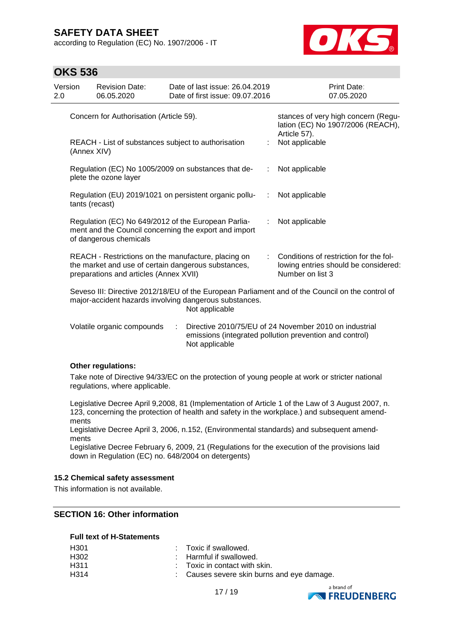according to Regulation (EC) No. 1907/2006 - IT



### **OKS 536**

| Version<br>2.0 |                | <b>Revision Date:</b><br>06.05.2020                                                                                                                  |   | Date of last issue: 26.04.2019<br>Date of first issue: 09.07.2016        |    | Print Date:<br>07.05.2020                                                                                         |
|----------------|----------------|------------------------------------------------------------------------------------------------------------------------------------------------------|---|--------------------------------------------------------------------------|----|-------------------------------------------------------------------------------------------------------------------|
|                |                | Concern for Authorisation (Article 59).                                                                                                              |   |                                                                          |    | stances of very high concern (Regu-<br>lation (EC) No 1907/2006 (REACH),                                          |
|                | (Annex XIV)    | REACH - List of substances subject to authorisation                                                                                                  |   |                                                                          |    | Article 57).<br>Not applicable                                                                                    |
|                |                | Regulation (EC) No 1005/2009 on substances that de-<br>plete the ozone layer                                                                         |   |                                                                          |    | Not applicable                                                                                                    |
|                | tants (recast) |                                                                                                                                                      |   | Regulation (EU) 2019/1021 on persistent organic pollu-                   | ÷  | Not applicable                                                                                                    |
|                |                | Regulation (EC) No 649/2012 of the European Parlia-<br>of dangerous chemicals                                                                        |   | ment and the Council concerning the export and import                    | ÷. | Not applicable                                                                                                    |
|                |                | REACH - Restrictions on the manufacture, placing on<br>the market and use of certain dangerous substances,<br>preparations and articles (Annex XVII) |   |                                                                          | t. | Conditions of restriction for the fol-<br>lowing entries should be considered:<br>Number on list 3                |
|                |                |                                                                                                                                                      |   | major-accident hazards involving dangerous substances.<br>Not applicable |    | Seveso III: Directive 2012/18/EU of the European Parliament and of the Council on the control of                  |
|                |                | Volatile organic compounds                                                                                                                           | ÷ | Not applicable                                                           |    | Directive 2010/75/EU of 24 November 2010 on industrial<br>emissions (integrated pollution prevention and control) |

#### **Other regulations:**

Take note of Directive 94/33/EC on the protection of young people at work or stricter national regulations, where applicable.

Legislative Decree April 9,2008, 81 (Implementation of Article 1 of the Law of 3 August 2007, n. 123, concerning the protection of health and safety in the workplace.) and subsequent amendments

Legislative Decree April 3, 2006, n.152, (Environmental standards) and subsequent amendments

Legislative Decree February 6, 2009, 21 (Regulations for the execution of the provisions laid down in Regulation (EC) no. 648/2004 on detergents)

#### **15.2 Chemical safety assessment**

This information is not available.

#### **SECTION 16: Other information**

#### **Full text of H-Statements**

| H301 | : Toxic if swallowed.                      |
|------|--------------------------------------------|
| H302 | : Harmful if swallowed.                    |
| H311 | $\therefore$ Toxic in contact with skin.   |
| H314 | : Causes severe skin burns and eye damage. |
|      |                                            |

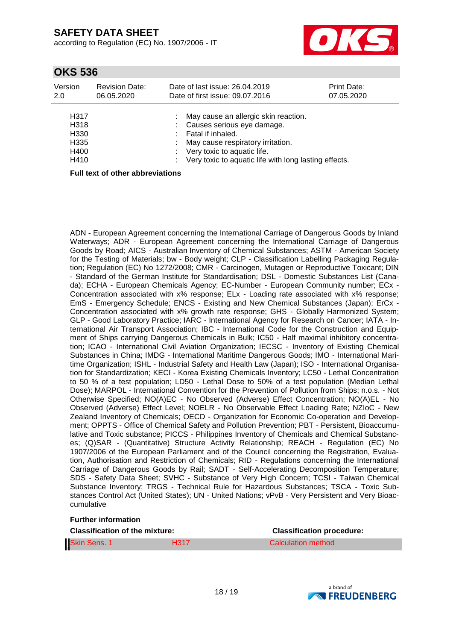according to Regulation (EC) No. 1907/2006 - IT



### **OKS 536**

| Version<br>2.0                                                        | <b>Revision Date:</b><br>06.05.2020 | Date of last issue: 26.04.2019<br>Date of first issue: 09.07.2016                                                                                                                                                        | Print Date:<br>07.05.2020 |
|-----------------------------------------------------------------------|-------------------------------------|--------------------------------------------------------------------------------------------------------------------------------------------------------------------------------------------------------------------------|---------------------------|
| H317<br>H <sub>3</sub> 18<br>H <sub>330</sub><br>H335<br>H400<br>H410 |                                     | May cause an allergic skin reaction.<br>Causes serious eye damage.<br>Fatal if inhaled.<br>May cause respiratory irritation.<br>: Very toxic to aquatic life.<br>: Very toxic to aquatic life with long lasting effects. |                           |
|                                                                       | Full tout of other abbreviations.   |                                                                                                                                                                                                                          |                           |

**Full text of other abbreviations**

ADN - European Agreement concerning the International Carriage of Dangerous Goods by Inland Waterways; ADR - European Agreement concerning the International Carriage of Dangerous Goods by Road; AICS - Australian Inventory of Chemical Substances; ASTM - American Society for the Testing of Materials; bw - Body weight; CLP - Classification Labelling Packaging Regulation; Regulation (EC) No 1272/2008; CMR - Carcinogen, Mutagen or Reproductive Toxicant; DIN - Standard of the German Institute for Standardisation; DSL - Domestic Substances List (Canada); ECHA - European Chemicals Agency; EC-Number - European Community number; ECx - Concentration associated with x% response; ELx - Loading rate associated with x% response; EmS - Emergency Schedule; ENCS - Existing and New Chemical Substances (Japan); ErCx - Concentration associated with x% growth rate response; GHS - Globally Harmonized System; GLP - Good Laboratory Practice; IARC - International Agency for Research on Cancer; IATA - International Air Transport Association; IBC - International Code for the Construction and Equipment of Ships carrying Dangerous Chemicals in Bulk; IC50 - Half maximal inhibitory concentration; ICAO - International Civil Aviation Organization; IECSC - Inventory of Existing Chemical Substances in China; IMDG - International Maritime Dangerous Goods; IMO - International Maritime Organization; ISHL - Industrial Safety and Health Law (Japan); ISO - International Organisation for Standardization; KECI - Korea Existing Chemicals Inventory; LC50 - Lethal Concentration to 50 % of a test population; LD50 - Lethal Dose to 50% of a test population (Median Lethal Dose); MARPOL - International Convention for the Prevention of Pollution from Ships; n.o.s. - Not Otherwise Specified; NO(A)EC - No Observed (Adverse) Effect Concentration; NO(A)EL - No Observed (Adverse) Effect Level; NOELR - No Observable Effect Loading Rate; NZIoC - New Zealand Inventory of Chemicals; OECD - Organization for Economic Co-operation and Development; OPPTS - Office of Chemical Safety and Pollution Prevention; PBT - Persistent, Bioaccumulative and Toxic substance; PICCS - Philippines Inventory of Chemicals and Chemical Substances; (Q)SAR - (Quantitative) Structure Activity Relationship; REACH - Regulation (EC) No 1907/2006 of the European Parliament and of the Council concerning the Registration, Evaluation, Authorisation and Restriction of Chemicals; RID - Regulations concerning the International Carriage of Dangerous Goods by Rail; SADT - Self-Accelerating Decomposition Temperature; SDS - Safety Data Sheet; SVHC - Substance of Very High Concern; TCSI - Taiwan Chemical Substance Inventory; TRGS - Technical Rule for Hazardous Substances; TSCA - Toxic Substances Control Act (United States); UN - United Nations; vPvB - Very Persistent and Very Bioaccumulative

#### **Further information**

| <b>Classification of the mixture:</b> |                  | <b>Classification procedure:</b> |  |
|---------------------------------------|------------------|----------------------------------|--|
| Skin Sens. 1                          | H <sub>317</sub> | Calculation method               |  |